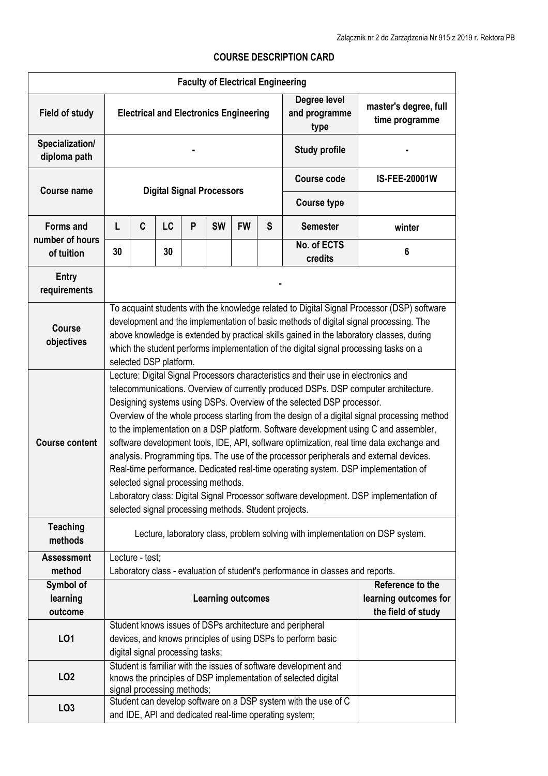## **Faculty of Electrical Engineering Field of study Electrical and Electronics Engineering Degree level and programme type master's degree, full time programme Specialization/ diploma path - Study profile - Course name Digital Signal Processors Course code IS-FEE-20001W Course type Forms and number of hours of tuition**  L | C | LC | P | SW | FW | S | Semester | winter **30 30 No. of ECTS credits <sup>6</sup> Entry requirements - Course objectives**  To acquaint students with the knowledge related to Digital Signal Processor (DSP) software development and the implementation of basic methods of digital signal processing. The above knowledge is extended by practical skills gained in the laboratory classes, during which the student performs implementation of the digital signal processing tasks on a selected DSP platform. **Course content**  Lecture: Digital Signal Processors characteristics and their use in electronics and telecommunications. Overview of currently produced DSPs. DSP computer architecture. Designing systems using DSPs. Overview of the selected DSP processor. Overview of the whole process starting from the design of a digital signal processing method to the implementation on a DSP platform. Software development using C and assembler, software development tools, IDE, API, software optimization, real time data exchange and analysis. Programming tips. The use of the processor peripherals and external devices. Real-time performance. Dedicated real-time operating system. DSP implementation of selected signal processing methods. Laboratory class: Digital Signal Processor software development. DSP implementation of selected signal processing methods. Student projects. **Teaching methods** Lecture, laboratory class, problem solving with implementation on DSP system. **Assessment method**  Lecture - test; Laboratory class - evaluation of student's performance in classes and reports. **Symbol of learning outcome Learning outcomes Reference to the learning outcomes for the field of study LO1**  Student knows issues of DSPs architecture and peripheral devices, and knows principles of using DSPs to perform basic digital signal processing tasks; **LO2**  Student is familiar with the issues of software development and knows the principles of DSP implementation of selected digital signal processing methods; **LO3** Student can develop software on a DSP system with the use of C and IDE, API and dedicated real-time operating system;

## **COURSE DESCRIPTION CARD**